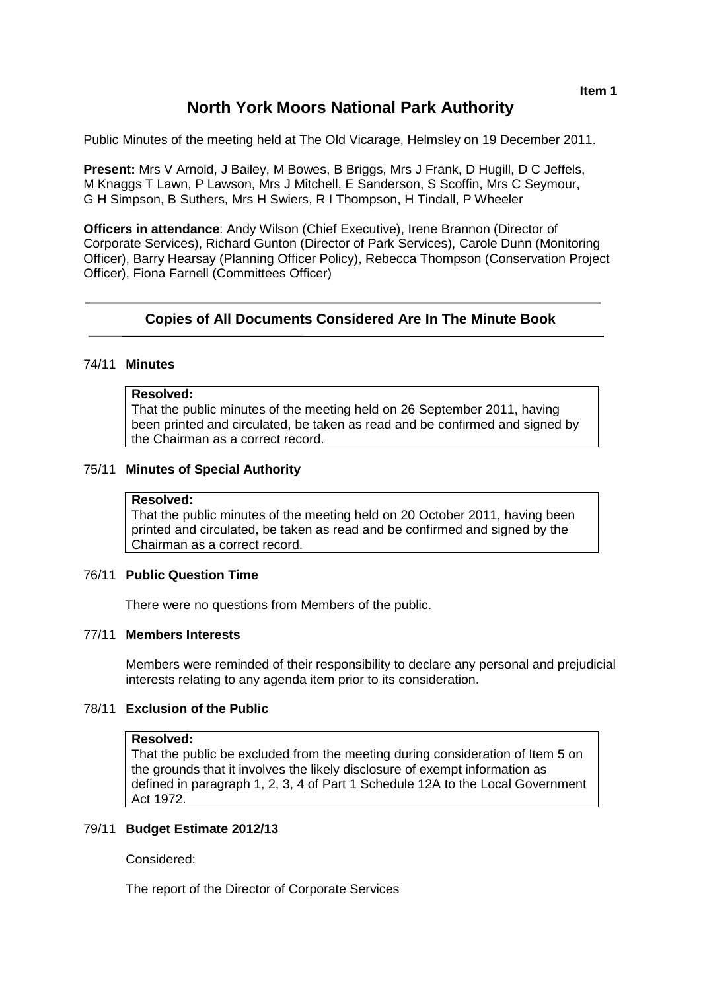# **North York Moors National Park Authority**

Public Minutes of the meeting held at The Old Vicarage, Helmsley on 19 December 2011.

**Present:** Mrs V Arnold, J Bailey, M Bowes, B Briggs, Mrs J Frank, D Hugill, D C Jeffels, M Knaggs T Lawn, P Lawson, Mrs J Mitchell, E Sanderson, S Scoffin, Mrs C Seymour, G H Simpson, B Suthers, Mrs H Swiers, R I Thompson, H Tindall, P Wheeler

**Officers in attendance**: Andy Wilson (Chief Executive), Irene Brannon (Director of Corporate Services), Richard Gunton (Director of Park Services), Carole Dunn (Monitoring Officer), Barry Hearsay (Planning Officer Policy), Rebecca Thompson (Conservation Project Officer), Fiona Farnell (Committees Officer)

## **Copies of All Documents Considered Are In The Minute Book**

#### 74/11 **Minutes**

## **Resolved:**

That the public minutes of the meeting held on 26 September 2011, having been printed and circulated, be taken as read and be confirmed and signed by the Chairman as a correct record.

#### 75/11 **Minutes of Special Authority**

#### **Resolved:**

That the public minutes of the meeting held on 20 October 2011, having been printed and circulated, be taken as read and be confirmed and signed by the Chairman as a correct record.

## 76/11 **Public Question Time**

There were no questions from Members of the public.

## 77/11 **Members Interests**

Members were reminded of their responsibility to declare any personal and prejudicial interests relating to any agenda item prior to its consideration.

#### 78/11 **Exclusion of the Public**

#### **Resolved:**

That the public be excluded from the meeting during consideration of Item 5 on the grounds that it involves the likely disclosure of exempt information as defined in paragraph 1, 2, 3, 4 of Part 1 Schedule 12A to the Local Government Act 1972.

#### 79/11 **Budget Estimate 2012/13**

Considered:

The report of the Director of Corporate Services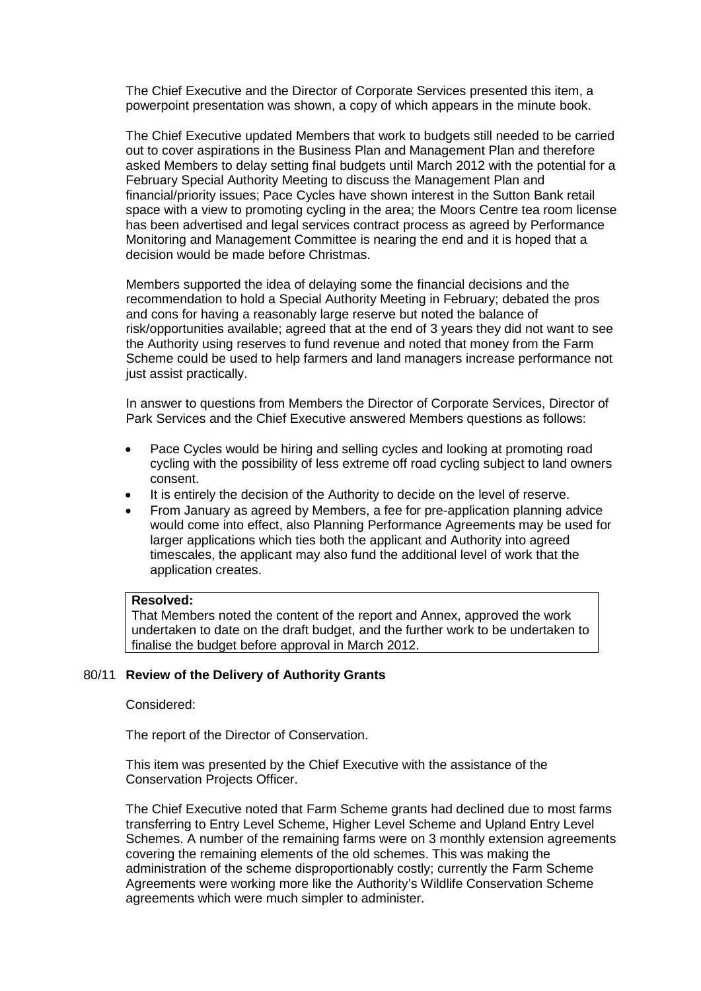The Chief Executive and the Director of Corporate Services presented this item, a powerpoint presentation was shown, a copy of which appears in the minute book.

The Chief Executive updated Members that work to budgets still needed to be carried out to cover aspirations in the Business Plan and Management Plan and therefore asked Members to delay setting final budgets until March 2012 with the potential for a February Special Authority Meeting to discuss the Management Plan and financial/priority issues; Pace Cycles have shown interest in the Sutton Bank retail space with a view to promoting cycling in the area; the Moors Centre tea room license has been advertised and legal services contract process as agreed by Performance Monitoring and Management Committee is nearing the end and it is hoped that a decision would be made before Christmas.

Members supported the idea of delaying some the financial decisions and the recommendation to hold a Special Authority Meeting in February; debated the pros and cons for having a reasonably large reserve but noted the balance of risk/opportunities available; agreed that at the end of 3 years they did not want to see the Authority using reserves to fund revenue and noted that money from the Farm Scheme could be used to help farmers and land managers increase performance not just assist practically.

In answer to questions from Members the Director of Corporate Services, Director of Park Services and the Chief Executive answered Members questions as follows:

- Pace Cycles would be hiring and selling cycles and looking at promoting road cycling with the possibility of less extreme off road cycling subject to land owners consent.
- It is entirely the decision of the Authority to decide on the level of reserve.
- From January as agreed by Members, a fee for pre-application planning advice would come into effect, also Planning Performance Agreements may be used for larger applications which ties both the applicant and Authority into agreed timescales, the applicant may also fund the additional level of work that the application creates.

## **Resolved:**

That Members noted the content of the report and Annex, approved the work undertaken to date on the draft budget, and the further work to be undertaken to finalise the budget before approval in March 2012.

#### 80/11 **Review of the Delivery of Authority Grants**

Considered:

The report of the Director of Conservation.

This item was presented by the Chief Executive with the assistance of the Conservation Projects Officer.

The Chief Executive noted that Farm Scheme grants had declined due to most farms transferring to Entry Level Scheme, Higher Level Scheme and Upland Entry Level Schemes. A number of the remaining farms were on 3 monthly extension agreements covering the remaining elements of the old schemes. This was making the administration of the scheme disproportionably costly; currently the Farm Scheme Agreements were working more like the Authority's Wildlife Conservation Scheme agreements which were much simpler to administer.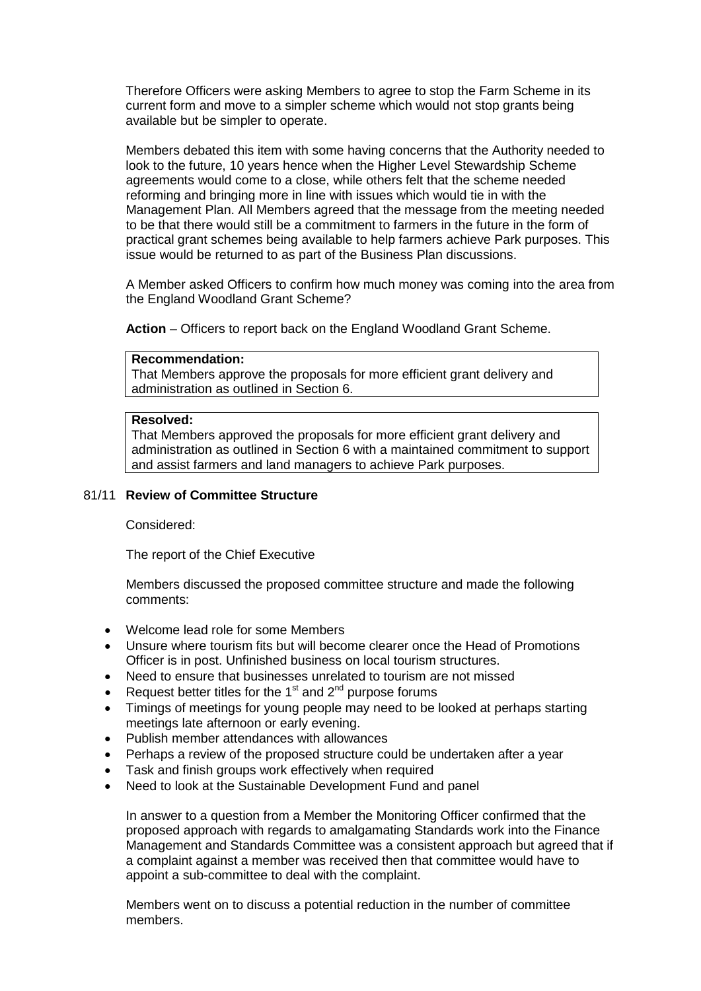Therefore Officers were asking Members to agree to stop the Farm Scheme in its current form and move to a simpler scheme which would not stop grants being available but be simpler to operate.

Members debated this item with some having concerns that the Authority needed to look to the future, 10 years hence when the Higher Level Stewardship Scheme agreements would come to a close, while others felt that the scheme needed reforming and bringing more in line with issues which would tie in with the Management Plan. All Members agreed that the message from the meeting needed to be that there would still be a commitment to farmers in the future in the form of practical grant schemes being available to help farmers achieve Park purposes. This issue would be returned to as part of the Business Plan discussions.

A Member asked Officers to confirm how much money was coming into the area from the England Woodland Grant Scheme?

**Action** – Officers to report back on the England Woodland Grant Scheme.

## **Recommendation:**

That Members approve the proposals for more efficient grant delivery and administration as outlined in Section 6.

#### **Resolved:**

That Members approved the proposals for more efficient grant delivery and administration as outlined in Section 6 with a maintained commitment to support and assist farmers and land managers to achieve Park purposes.

## 81/11 **Review of Committee Structure**

Considered:

The report of the Chief Executive

Members discussed the proposed committee structure and made the following comments:

- Welcome lead role for some Members
- Unsure where tourism fits but will become clearer once the Head of Promotions Officer is in post. Unfinished business on local tourism structures.
- Need to ensure that businesses unrelated to tourism are not missed
- Request better titles for the 1<sup>st</sup> and  $2^{nd}$  purpose forums
- Timings of meetings for young people may need to be looked at perhaps starting meetings late afternoon or early evening.
- Publish member attendances with allowances
- Perhaps a review of the proposed structure could be undertaken after a year
- Task and finish groups work effectively when required
- Need to look at the Sustainable Development Fund and panel

In answer to a question from a Member the Monitoring Officer confirmed that the proposed approach with regards to amalgamating Standards work into the Finance Management and Standards Committee was a consistent approach but agreed that if a complaint against a member was received then that committee would have to appoint a sub-committee to deal with the complaint.

Members went on to discuss a potential reduction in the number of committee members.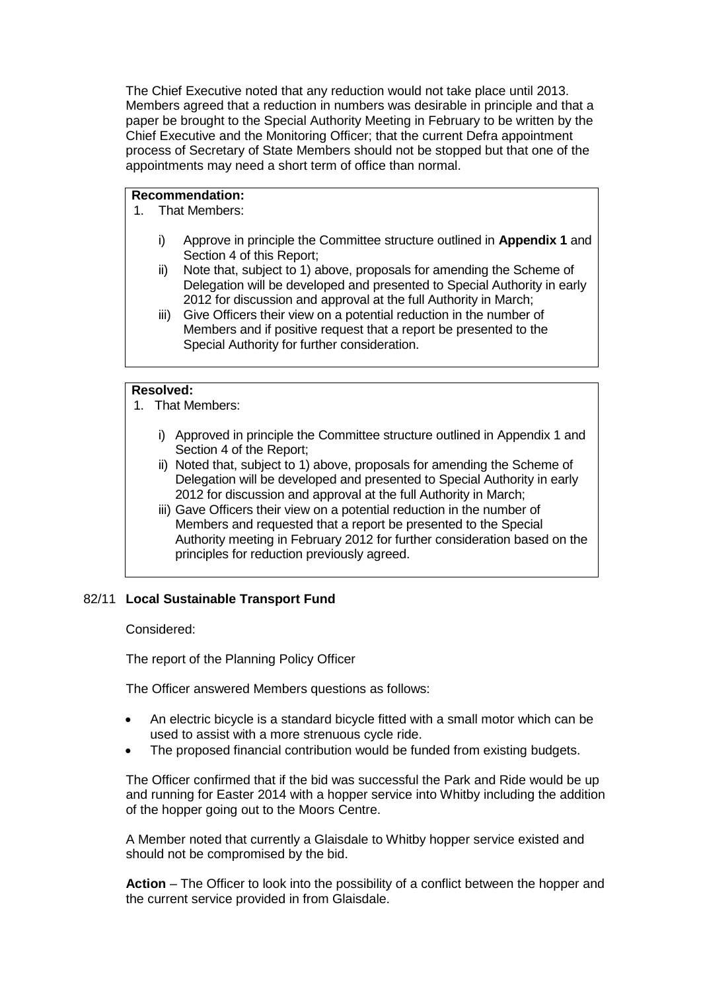The Chief Executive noted that any reduction would not take place until 2013. Members agreed that a reduction in numbers was desirable in principle and that a paper be brought to the Special Authority Meeting in February to be written by the Chief Executive and the Monitoring Officer; that the current Defra appointment process of Secretary of State Members should not be stopped but that one of the appointments may need a short term of office than normal.

## **Recommendation:**

- 1. That Members:
	- i) Approve in principle the Committee structure outlined in **Appendix 1** and Section 4 of this Report;
	- ii) Note that, subject to 1) above, proposals for amending the Scheme of Delegation will be developed and presented to Special Authority in early 2012 for discussion and approval at the full Authority in March;
	- iii) Give Officers their view on a potential reduction in the number of Members and if positive request that a report be presented to the Special Authority for further consideration.

## **Resolved:**

- 1. That Members:
	- i) Approved in principle the Committee structure outlined in Appendix 1 and Section 4 of the Report;
	- ii) Noted that, subject to 1) above, proposals for amending the Scheme of Delegation will be developed and presented to Special Authority in early 2012 for discussion and approval at the full Authority in March;
	- iii) Gave Officers their view on a potential reduction in the number of Members and requested that a report be presented to the Special Authority meeting in February 2012 for further consideration based on the principles for reduction previously agreed.

## 82/11 **Local Sustainable Transport Fund**

Considered:

The report of the Planning Policy Officer

The Officer answered Members questions as follows:

- An electric bicycle is a standard bicycle fitted with a small motor which can be used to assist with a more strenuous cycle ride.
- The proposed financial contribution would be funded from existing budgets.

The Officer confirmed that if the bid was successful the Park and Ride would be up and running for Easter 2014 with a hopper service into Whitby including the addition of the hopper going out to the Moors Centre.

A Member noted that currently a Glaisdale to Whitby hopper service existed and should not be compromised by the bid.

**Action** – The Officer to look into the possibility of a conflict between the hopper and the current service provided in from Glaisdale.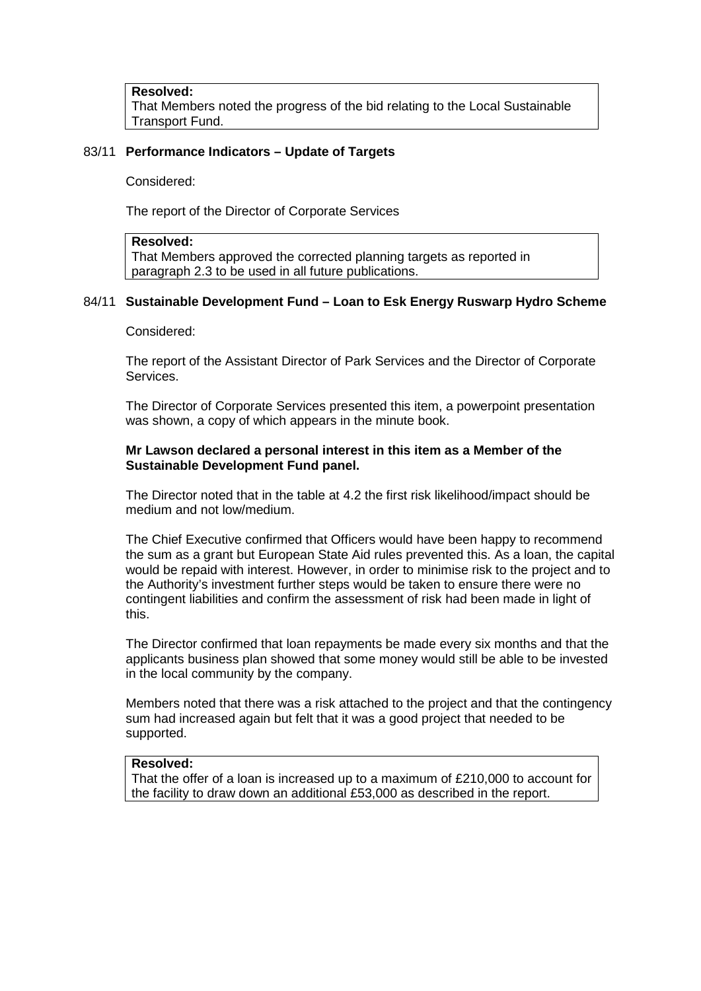**Resolved:**  That Members noted the progress of the bid relating to the Local Sustainable Transport Fund.

## 83/11 **Performance Indicators – Update of Targets**

Considered:

The report of the Director of Corporate Services

#### **Resolved:**

That Members approved the corrected planning targets as reported in paragraph 2.3 to be used in all future publications.

## 84/11 **Sustainable Development Fund – Loan to Esk Energy Ruswarp Hydro Scheme**

Considered:

The report of the Assistant Director of Park Services and the Director of Corporate Services.

The Director of Corporate Services presented this item, a powerpoint presentation was shown, a copy of which appears in the minute book.

## **Mr Lawson declared a personal interest in this item as a Member of the Sustainable Development Fund panel.**

The Director noted that in the table at 4.2 the first risk likelihood/impact should be medium and not low/medium.

The Chief Executive confirmed that Officers would have been happy to recommend the sum as a grant but European State Aid rules prevented this. As a loan, the capital would be repaid with interest. However, in order to minimise risk to the project and to the Authority's investment further steps would be taken to ensure there were no contingent liabilities and confirm the assessment of risk had been made in light of this.

The Director confirmed that loan repayments be made every six months and that the applicants business plan showed that some money would still be able to be invested in the local community by the company.

Members noted that there was a risk attached to the project and that the contingency sum had increased again but felt that it was a good project that needed to be supported.

#### **Resolved:**

That the offer of a loan is increased up to a maximum of £210,000 to account for the facility to draw down an additional £53,000 as described in the report.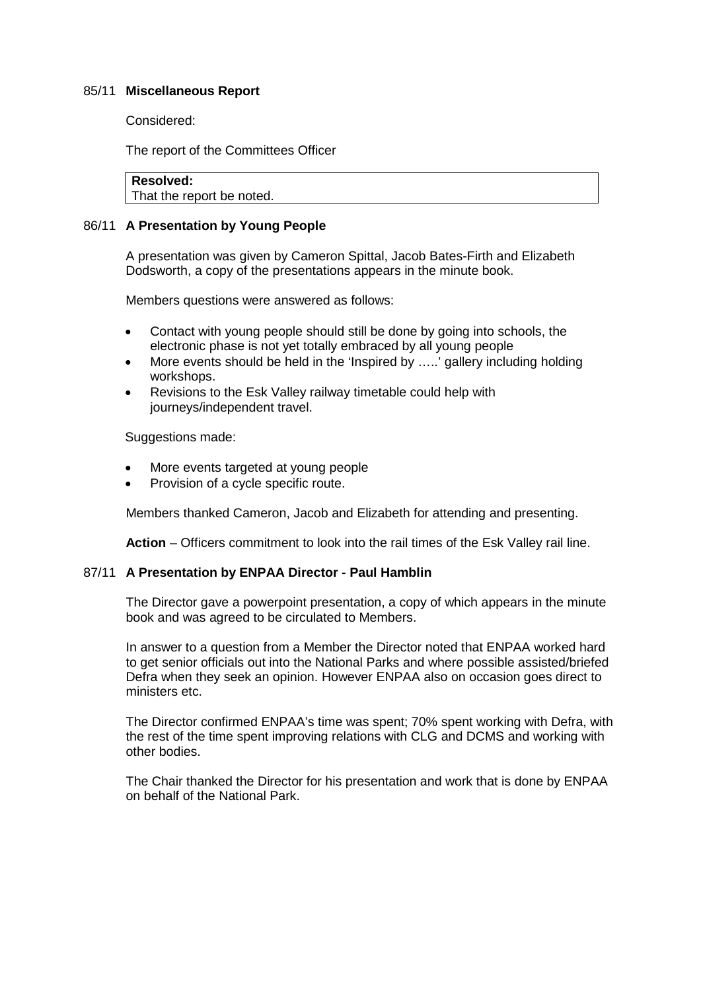## 85/11 **Miscellaneous Report**

Considered:

The report of the Committees Officer

**Resolved:** 

That the report be noted.

## 86/11 **A Presentation by Young People**

A presentation was given by Cameron Spittal, Jacob Bates-Firth and Elizabeth Dodsworth, a copy of the presentations appears in the minute book.

Members questions were answered as follows:

- Contact with young people should still be done by going into schools, the electronic phase is not yet totally embraced by all young people
- More events should be held in the 'Inspired by .....' gallery including holding workshops.
- Revisions to the Esk Valley railway timetable could help with journeys/independent travel.

Suggestions made:

- More events targeted at young people
- Provision of a cycle specific route.

Members thanked Cameron, Jacob and Elizabeth for attending and presenting.

**Action** – Officers commitment to look into the rail times of the Esk Valley rail line.

## 87/11 **A Presentation by ENPAA Director - Paul Hamblin**

The Director gave a powerpoint presentation, a copy of which appears in the minute book and was agreed to be circulated to Members.

In answer to a question from a Member the Director noted that ENPAA worked hard to get senior officials out into the National Parks and where possible assisted/briefed Defra when they seek an opinion. However ENPAA also on occasion goes direct to ministers etc.

The Director confirmed ENPAA's time was spent; 70% spent working with Defra, with the rest of the time spent improving relations with CLG and DCMS and working with other bodies.

The Chair thanked the Director for his presentation and work that is done by ENPAA on behalf of the National Park.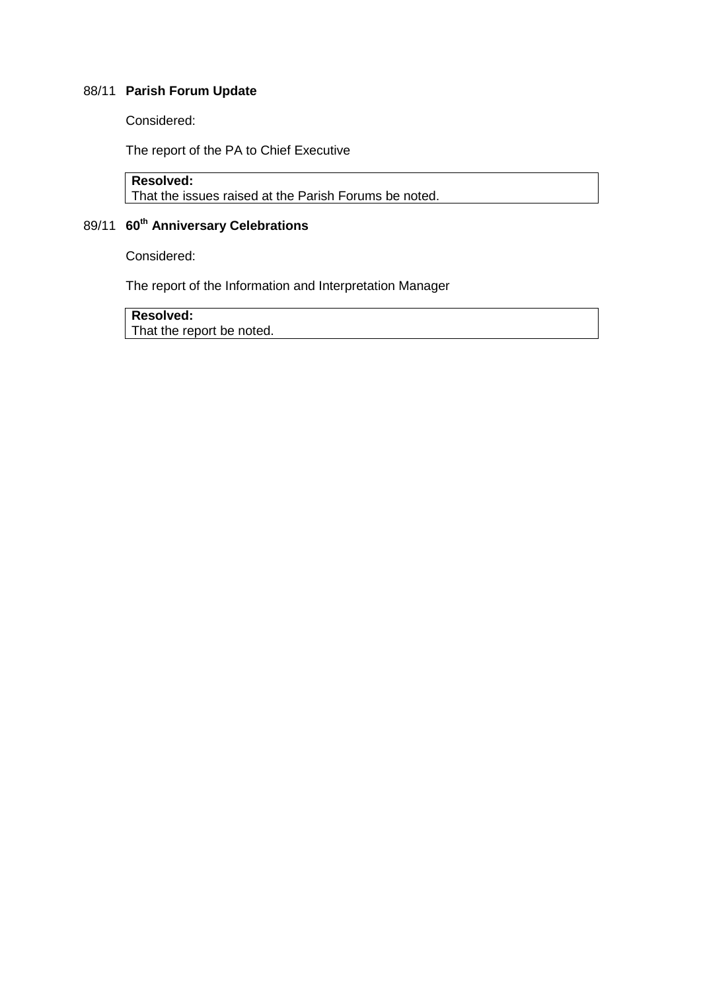## 88/11 **Parish Forum Update**

Considered:

The report of the PA to Chief Executive

```
Resolved:
```
That the issues raised at the Parish Forums be noted.

# 89/11 **60th Anniversary Celebrations**

Considered:

The report of the Information and Interpretation Manager

**Resolved:** 

That the report be noted.